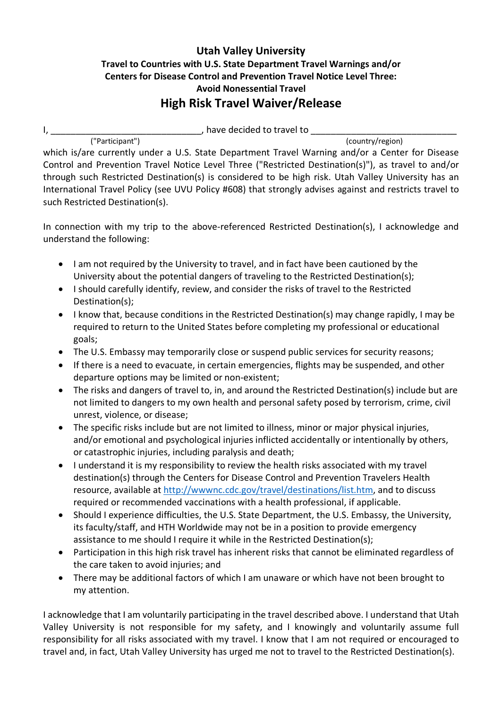## **Utah Valley University Travel to Countries with U.S. State Department Travel Warnings and/or Centers for Disease Control and Prevention Travel Notice Level Three: Avoid Nonessential Travel High Risk Travel Waiver/Release**

I, \_\_\_\_\_\_\_\_\_\_\_\_\_\_\_\_\_\_\_\_\_\_\_\_\_\_\_\_\_\_, have decided to travel to \_\_\_\_\_\_\_\_\_\_\_\_\_\_\_\_\_\_\_\_\_\_\_\_\_\_\_\_\_

("Participant") (country/region)

which is/are currently under a U.S. State Department Travel Warning and/or a Center for Disease Control and Prevention Travel Notice Level Three ("Restricted Destination(s)"), as travel to and/or through such Restricted Destination(s) is considered to be high risk. Utah Valley University has an International Travel Policy (see UVU Policy #608) that strongly advises against and restricts travel to such Restricted Destination(s).

In connection with my trip to the above-referenced Restricted Destination(s), I acknowledge and understand the following:

- I am not required by the University to travel, and in fact have been cautioned by the University about the potential dangers of traveling to the Restricted Destination(s);
- I should carefully identify, review, and consider the risks of travel to the Restricted Destination(s);
- I know that, because conditions in the Restricted Destination(s) may change rapidly, I may be required to return to the United States before completing my professional or educational goals;
- The U.S. Embassy may temporarily close or suspend public services for security reasons;
- If there is a need to evacuate, in certain emergencies, flights may be suspended, and other departure options may be limited or non-existent;
- The risks and dangers of travel to, in, and around the Restricted Destination(s) include but are not limited to dangers to my own health and personal safety posed by terrorism, crime, civil unrest, violence, or disease;
- The specific risks include but are not limited to illness, minor or major physical injuries, and/or emotional and psychological injuries inflicted accidentally or intentionally by others, or catastrophic injuries, including paralysis and death;
- I understand it is my responsibility to review the health risks associated with my travel destination(s) through the Centers for Disease Control and Prevention Travelers Health resource, available at http://wwwnc.cdc.gov/travel/destinations/list.htm, and to discuss required or recommended vaccinations with a health professional, if applicable.
- Should I experience difficulties, the U.S. State Department, the U.S. Embassy, the University, its faculty/staff, and HTH Worldwide may not be in a position to provide emergency assistance to me should I require it while in the Restricted Destination(s);
- Participation in this high risk travel has inherent risks that cannot be eliminated regardless of the care taken to avoid injuries; and
- There may be additional factors of which I am unaware or which have not been brought to my attention.

I acknowledge that I am voluntarily participating in the travel described above. I understand that Utah Valley University is not responsible for my safety, and I knowingly and voluntarily assume full responsibility for all risks associated with my travel. I know that I am not required or encouraged to travel and, in fact, Utah Valley University has urged me not to travel to the Restricted Destination(s).